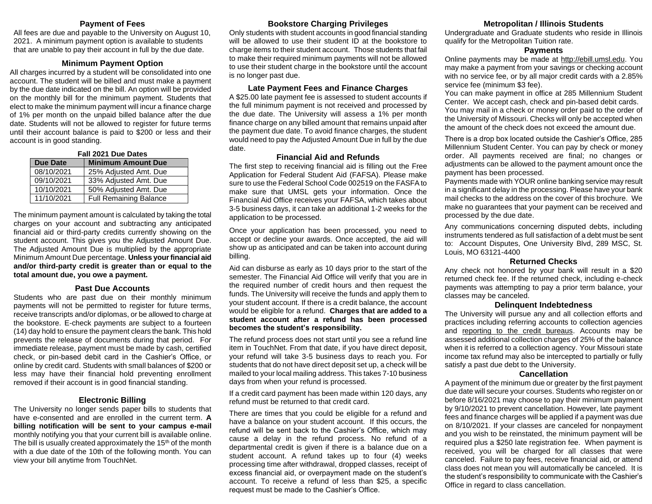#### **Payment of Fees**

All fees are due and payable to the University on August 10, 2021. A minimum payment option is available to students that are unable to pay their account in full by the due date.

## **Minimum Payment Option**

All charges incurred by a student will be consolidated into one account. The student will be billed and must make a payment by the due date indicated on the bill. An option will be provided on the monthly bill for the minimum payment. Students that elect to make the minimum payment will incur a finance charge of 1% per month on the unpaid billed balance after the due date. Students will not be allowed to register for future terms until their account balance is paid to \$200 or less and their account is in good standing.

| Fall 2021 Due Dates                          |                               |  |
|----------------------------------------------|-------------------------------|--|
| <b>Due Date</b><br><b>Minimum Amount Due</b> |                               |  |
| 08/10/2021                                   | 25% Adjusted Amt. Due         |  |
| 09/10/2021                                   | 33% Adjusted Amt. Due         |  |
| 10/10/2021                                   | 50% Adjusted Amt. Due         |  |
| 11/10/2021                                   | <b>Full Remaining Balance</b> |  |

The minimum payment amount is calculated by taking the total charges on your account and subtracting any anticipated financial aid or third-party credits currently showing on the student account. This gives you the Adjusted Amount Due. The Adjusted Amount Due is multiplied by the appropriate Minimum Amount Due percentage. **Unless your financial aid and/or third-party credit is greater than or equal to the total amount due, you owe a payment.**

# **Past Due Accounts**

Students who are past due on their monthly minimum payments will not be permitted to register for future terms, receive transcripts and/or diplomas, or be allowed to charge at the bookstore. E-check payments are subject to a fourteen (14) day hold to ensure the payment clears the bank. This hold prevents the release of documents during that period. For immediate release, payment must be made by cash, certified check, or pin-based debit card in the Cashier's Office, or online by credit card. Students with small balances of \$200 or less may have their financial hold preventing enrollment removed if their account is in good financial standing.

# **Electronic Billing**

The University no longer sends paper bills to students that have e-consented and are enrolled in the current term. **A billing notification will be sent to your campus e-mail** monthly notifying you that your current bill is available online. The bill is usually created approximately the  $15<sup>th</sup>$  of the month with a due date of the 10th of the following month. You can view your bill anytime from TouchNet.

## **Bookstore Charging Privileges**

Only students with student accounts in good financial standing will be allowed to use their student ID at the bookstore to charge items to their student account. Those students that fail to make their required minimum payments will not be allowed to use their student charge in the bookstore until the account is no longer past due.

#### **Late Payment Fees and Finance Charges**

A \$25.00 late payment fee is assessed to student accounts if the full minimum payment is not received and processed by the due date. The University will assess a 1% per month finance charge on any billed amount that remains unpaid after the payment due date. To avoid finance charges, the student would need to pay the Adjusted Amount Due in full by the due date.

#### **Financial Aid and Refunds**

The first step to receiving financial aid is filling out the Free Application for Federal Student Aid (FAFSA). Please make sure to use the Federal School Code 002519 on the FASFA to make sure that UMSL gets your information. Once the Financial Aid Office receives your FAFSA, which takes about 3-5 business days, it can take an additional 1-2 weeks for the application to be processed.

Once your application has been processed, you need to accept or decline your awards. Once accepted, the aid will show up as anticipated and can be taken into account during billing.

Aid can disburse as early as 10 days prior to the start of the semester. The Financial Aid Office will verify that you are in the required number of credit hours and then request the funds. The University will receive the funds and apply them to your student account. If there is a credit balance, the account would be eligible for a refund. **Charges that are added to a student account after a refund has been processed becomes the student's responsibility.**

The refund process does not start until you see a refund line item in TouchNet. From that date, if you have direct deposit, your refund will take 3-5 business days to reach you. For students that do not have direct deposit set up, a check will be mailed to your local mailing address. This takes 7-10 business days from when your refund is processed.

If a credit card payment has been made within 120 days, any refund must be returned to that credit card.

There are times that you could be eligible for a refund and have a balance on your student account. If this occurs, the refund will be sent back to the Cashier's Office, which may cause a delay in the refund process. No refund of a departmental credit is given if there is a balance due on a student account. A refund takes up to four (4) weeks processing time after withdrawal, dropped classes, receipt of excess financial aid, or overpayment made on the student's account. To receive a refund of less than \$25, a specific request must be made to the Cashier's Office.

## **Metropolitan / Illinois Students**

Undergraduate and Graduate students who reside in Illinois qualify for the Metropolitan Tuition rate.

#### **Payments**

Online payments may be made at [http://ebill.umsl.edu.](http://ebill.umsl.edu/) You may make a payment from your savings or checking account with no service fee, or by all major credit cards with a 2.85% service fee (minimum \$3 fee).

You can make payment in office at 285 Millennium Student Center. We accept cash, check and pin-based debit cards. You may mail in a check or money order paid to the order of the University of Missouri. Checks will only be accepted when the amount of the check does not exceed the amount due.

There is a drop box located outside the Cashier's Office, 285 Millennium Student Center. You can pay by check or money order. All payments received are final; no changes or adjustments can be allowed to the payment amount once the payment has been processed.

Payments made with YOUR online banking service may result in a significant delay in the processing. Please have your bank mail checks to the address on the cover of this brochure. We make no guarantees that your payment can be received and processed by the due date.

Any communications concerning disputed debts, including instruments tendered as full satisfaction of a debt must be sent to: Account Disputes, One University Blvd, 289 MSC, St. Louis, MO 63121-4400

#### **Returned Checks**

Any check not honored by your bank will result in a \$20 returned check fee. If the returned check, including e-check payments was attempting to pay a prior term balance, your classes may be canceled.

#### **Delinquent Indebtedness**

The University will pursue any and all collection efforts and practices including referring accounts to collection agencies and reporting to the credit bureaus. Accounts may be assessed additional collection charges of 25% of the balance when it is referred to a collection agency. Your Missouri state income tax refund may also be intercepted to partially or fully satisfy a past due debt to the University.

#### **Cancellation**

A payment of the minimum due or greater by the first payment due date will secure your courses. Students who register on or before 8/16/2021 may choose to pay their minimum payment by 9/10/2021 to prevent cancellation. However, late payment fees and finance charges will be applied if a payment was due on 8/10/2021. If your classes are canceled for nonpayment and you wish to be reinstated, the minimum payment will be required plus a \$250 late registration fee. When payment is received, you will be charged for all classes that were canceled. Failure to pay fees, receive financial aid, or attend class does not mean you will automatically be canceled. It is the student's responsibility to communicate with the Cashier's Office in regard to class cancellation.